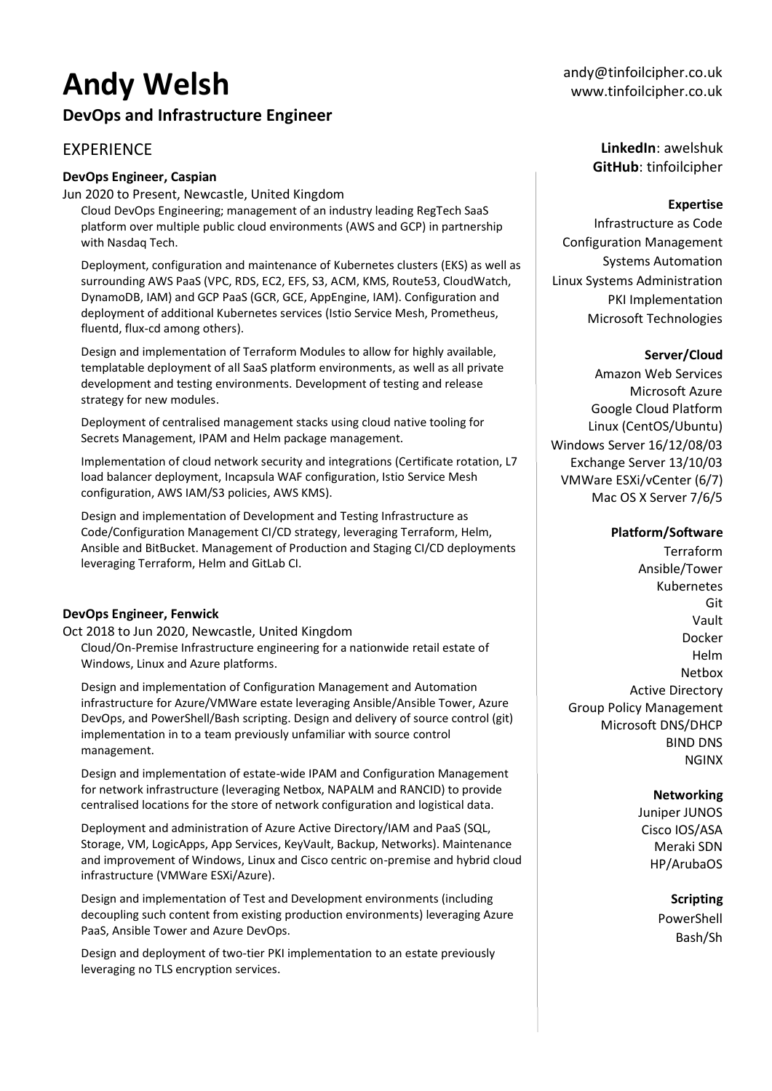# **Andy Welsh**

## **DevOps and Infrastructure Engineer**

## **EXPERIENCE**

#### **DevOps Engineer, Caspian**

Jun 2020 to Present, Newcastle, United Kingdom

Cloud DevOps Engineering; management of an industry leading RegTech SaaS platform over multiple public cloud environments (AWS and GCP) in partnership with Nasdaq Tech.

Deployment, configuration and maintenance of Kubernetes clusters (EKS) as well as surrounding AWS PaaS (VPC, RDS, EC2, EFS, S3, ACM, KMS, Route53, CloudWatch, DynamoDB, IAM) and GCP PaaS (GCR, GCE, AppEngine, IAM). Configuration and deployment of additional Kubernetes services (Istio Service Mesh, Prometheus, fluentd, flux-cd among others).

Design and implementation of Terraform Modules to allow for highly available, templatable deployment of all SaaS platform environments, as well as all private development and testing environments. Development of testing and release strategy for new modules.

Deployment of centralised management stacks using cloud native tooling for Secrets Management, IPAM and Helm package management.

Implementation of cloud network security and integrations (Certificate rotation, L7 load balancer deployment, Incapsula WAF configuration, Istio Service Mesh configuration, AWS IAM/S3 policies, AWS KMS).

Design and implementation of Development and Testing Infrastructure as Code/Configuration Management CI/CD strategy, leveraging Terraform, Helm, Ansible and BitBucket. Management of Production and Staging CI/CD deployments leveraging Terraform, Helm and GitLab CI.

#### **DevOps Engineer, Fenwick**

Oct 2018 to Jun 2020, Newcastle, United Kingdom Cloud/On-Premise Infrastructure engineering for a nationwide retail estate of Windows, Linux and Azure platforms.

Design and implementation of Configuration Management and Automation infrastructure for Azure/VMWare estate leveraging Ansible/Ansible Tower, Azure DevOps, and PowerShell/Bash scripting. Design and delivery of source control (git) implementation in to a team previously unfamiliar with source control management.

Design and implementation of estate-wide IPAM and Configuration Management for network infrastructure (leveraging Netbox, NAPALM and RANCID) to provide centralised locations for the store of network configuration and logistical data.

Deployment and administration of Azure Active Directory/IAM and PaaS (SQL, Storage, VM, LogicApps, App Services, KeyVault, Backup, Networks). Maintenance and improvement of Windows, Linux and Cisco centric on-premise and hybrid cloud infrastructure (VMWare ESXi/Azure).

Design and implementation of Test and Development environments (including decoupling such content from existing production environments) leveraging Azure PaaS, Ansible Tower and Azure DevOps.

Design and deployment of two-tier PKI implementation to an estate previously leveraging no TLS encryption services.

**LinkedIn**: awelshuk **GitHub**: tinfoilcipher

#### **Expertise**

Infrastructure as Code Configuration Management Systems Automation Linux Systems Administration PKI Implementation Microsoft Technologies

#### **Server/Cloud**

Amazon Web Services Microsoft Azure Google Cloud Platform Linux (CentOS/Ubuntu) Windows Server 16/12/08/03 Exchange Server 13/10/03 VMWare ESXi/vCenter (6/7) Mac OS X Server 7/6/5

#### **Platform/Software**

Terraform Ansible/Tower Kubernetes Git Vault Docker Helm Netbox Active Directory Group Policy Management Microsoft DNS/DHCP BIND DNS NGINX

#### **Networking**

Juniper JUNOS Cisco IOS/ASA Meraki SDN HP/ArubaOS

> **Scripting** PowerShell Bash/Sh